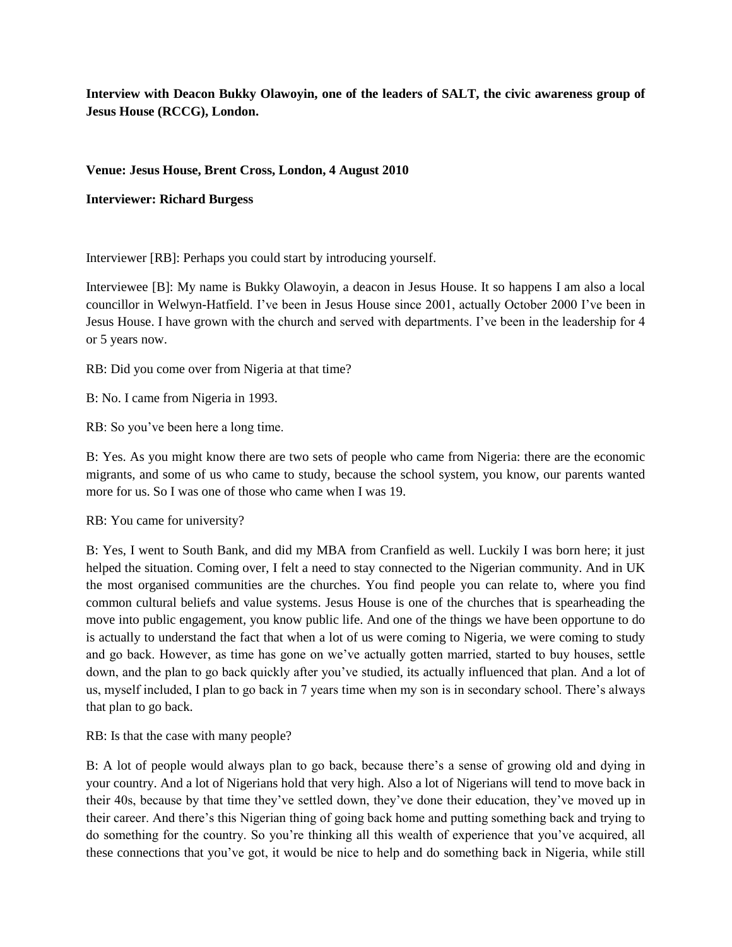**Interview with Deacon Bukky Olawoyin, one of the leaders of SALT, the civic awareness group of Jesus House (RCCG), London.**

## **Venue: Jesus House, Brent Cross, London, 4 August 2010**

**Interviewer: Richard Burgess**

Interviewer [RB]: Perhaps you could start by introducing yourself.

Interviewee [B]: My name is Bukky Olawoyin, a deacon in Jesus House. It so happens I am also a local councillor in Welwyn-Hatfield. I've been in Jesus House since 2001, actually October 2000 I've been in Jesus House. I have grown with the church and served with departments. I've been in the leadership for 4 or 5 years now.

RB: Did you come over from Nigeria at that time?

B: No. I came from Nigeria in 1993.

RB: So you've been here a long time.

B: Yes. As you might know there are two sets of people who came from Nigeria: there are the economic migrants, and some of us who came to study, because the school system, you know, our parents wanted more for us. So I was one of those who came when I was 19.

RB: You came for university?

B: Yes, I went to South Bank, and did my MBA from Cranfield as well. Luckily I was born here; it just helped the situation. Coming over, I felt a need to stay connected to the Nigerian community. And in UK the most organised communities are the churches. You find people you can relate to, where you find common cultural beliefs and value systems. Jesus House is one of the churches that is spearheading the move into public engagement, you know public life. And one of the things we have been opportune to do is actually to understand the fact that when a lot of us were coming to Nigeria, we were coming to study and go back. However, as time has gone on we've actually gotten married, started to buy houses, settle down, and the plan to go back quickly after you've studied, its actually influenced that plan. And a lot of us, myself included, I plan to go back in 7 years time when my son is in secondary school. There's always that plan to go back.

RB: Is that the case with many people?

B: A lot of people would always plan to go back, because there's a sense of growing old and dying in your country. And a lot of Nigerians hold that very high. Also a lot of Nigerians will tend to move back in their 40s, because by that time they've settled down, they've done their education, they've moved up in their career. And there's this Nigerian thing of going back home and putting something back and trying to do something for the country. So you're thinking all this wealth of experience that you've acquired, all these connections that you've got, it would be nice to help and do something back in Nigeria, while still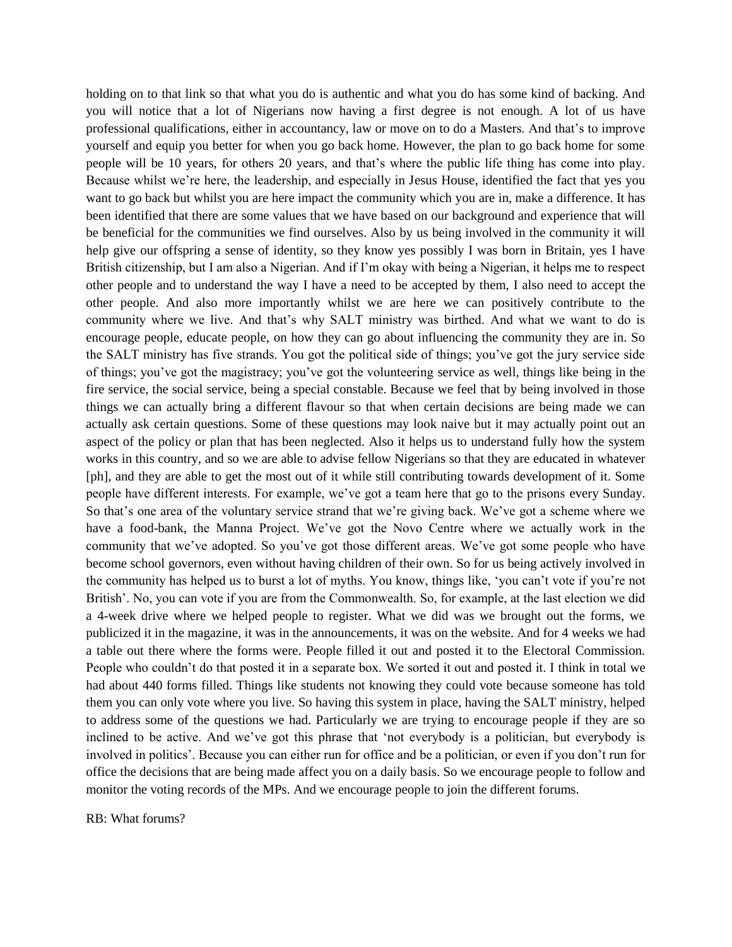holding on to that link so that what you do is authentic and what you do has some kind of backing. And you will notice that a lot of Nigerians now having a first degree is not enough. A lot of us have professional qualifications, either in accountancy, law or move on to do a Masters. And that's to improve yourself and equip you better for when you go back home. However, the plan to go back home for some people will be 10 years, for others 20 years, and that's where the public life thing has come into play. Because whilst we're here, the leadership, and especially in Jesus House, identified the fact that yes you want to go back but whilst you are here impact the community which you are in, make a difference. It has been identified that there are some values that we have based on our background and experience that will be beneficial for the communities we find ourselves. Also by us being involved in the community it will help give our offspring a sense of identity, so they know yes possibly I was born in Britain, yes I have British citizenship, but I am also a Nigerian. And if I'm okay with being a Nigerian, it helps me to respect other people and to understand the way I have a need to be accepted by them, I also need to accept the other people. And also more importantly whilst we are here we can positively contribute to the community where we live. And that's why SALT ministry was birthed. And what we want to do is encourage people, educate people, on how they can go about influencing the community they are in. So the SALT ministry has five strands. You got the political side of things; you've got the jury service side of things; you've got the magistracy; you've got the volunteering service as well, things like being in the fire service, the social service, being a special constable. Because we feel that by being involved in those things we can actually bring a different flavour so that when certain decisions are being made we can actually ask certain questions. Some of these questions may look naive but it may actually point out an aspect of the policy or plan that has been neglected. Also it helps us to understand fully how the system works in this country, and so we are able to advise fellow Nigerians so that they are educated in whatever [ph], and they are able to get the most out of it while still contributing towards development of it. Some people have different interests. For example, we've got a team here that go to the prisons every Sunday. So that's one area of the voluntary service strand that we're giving back. We've got a scheme where we have a food-bank, the Manna Project. We've got the Novo Centre where we actually work in the community that we've adopted. So you've got those different areas. We've got some people who have become school governors, even without having children of their own. So for us being actively involved in the community has helped us to burst a lot of myths. You know, things like, 'you can't vote if you're not British'. No, you can vote if you are from the Commonwealth. So, for example, at the last election we did a 4-week drive where we helped people to register. What we did was we brought out the forms, we publicized it in the magazine, it was in the announcements, it was on the website. And for 4 weeks we had a table out there where the forms were. People filled it out and posted it to the Electoral Commission. People who couldn't do that posted it in a separate box. We sorted it out and posted it. I think in total we had about 440 forms filled. Things like students not knowing they could vote because someone has told them you can only vote where you live. So having this system in place, having the SALT ministry, helped to address some of the questions we had. Particularly we are trying to encourage people if they are so inclined to be active. And we've got this phrase that 'not everybody is a politician, but everybody is involved in politics'. Because you can either run for office and be a politician, or even if you don't run for office the decisions that are being made affect you on a daily basis. So we encourage people to follow and monitor the voting records of the MPs. And we encourage people to join the different forums.

## RB: What forums?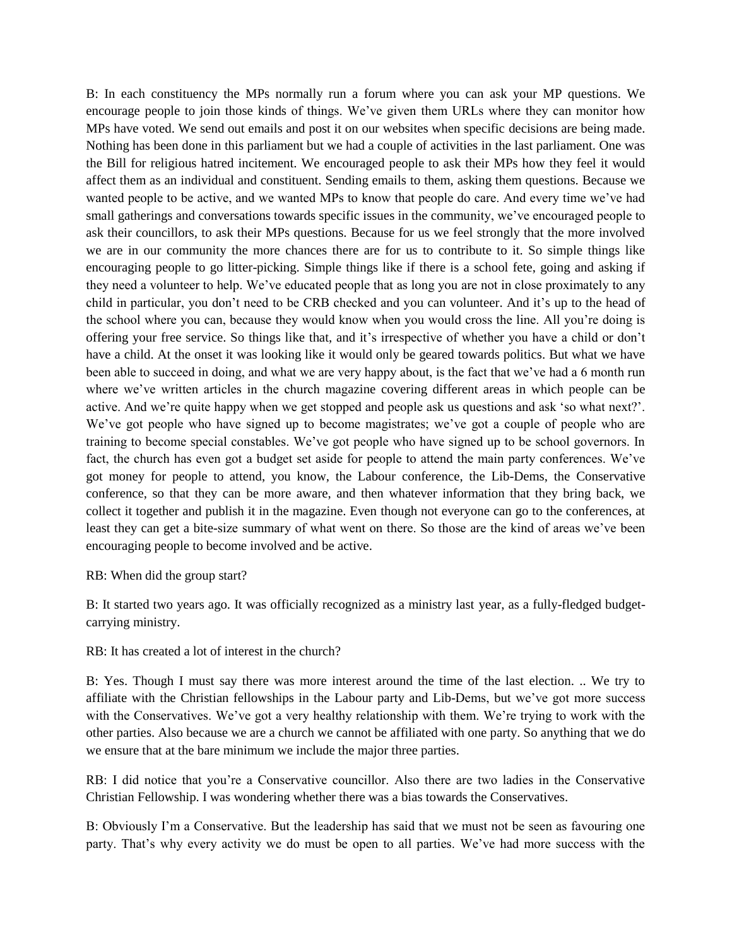B: In each constituency the MPs normally run a forum where you can ask your MP questions. We encourage people to join those kinds of things. We've given them URLs where they can monitor how MPs have voted. We send out emails and post it on our websites when specific decisions are being made. Nothing has been done in this parliament but we had a couple of activities in the last parliament. One was the Bill for religious hatred incitement. We encouraged people to ask their MPs how they feel it would affect them as an individual and constituent. Sending emails to them, asking them questions. Because we wanted people to be active, and we wanted MPs to know that people do care. And every time we've had small gatherings and conversations towards specific issues in the community, we've encouraged people to ask their councillors, to ask their MPs questions. Because for us we feel strongly that the more involved we are in our community the more chances there are for us to contribute to it. So simple things like encouraging people to go litter-picking. Simple things like if there is a school fete, going and asking if they need a volunteer to help. We've educated people that as long you are not in close proximately to any child in particular, you don't need to be CRB checked and you can volunteer. And it's up to the head of the school where you can, because they would know when you would cross the line. All you're doing is offering your free service. So things like that, and it's irrespective of whether you have a child or don't have a child. At the onset it was looking like it would only be geared towards politics. But what we have been able to succeed in doing, and what we are very happy about, is the fact that we've had a 6 month run where we've written articles in the church magazine covering different areas in which people can be active. And we're quite happy when we get stopped and people ask us questions and ask 'so what next?'. We've got people who have signed up to become magistrates; we've got a couple of people who are training to become special constables. We've got people who have signed up to be school governors. In fact, the church has even got a budget set aside for people to attend the main party conferences. We've got money for people to attend, you know, the Labour conference, the Lib-Dems, the Conservative conference, so that they can be more aware, and then whatever information that they bring back, we collect it together and publish it in the magazine. Even though not everyone can go to the conferences, at least they can get a bite-size summary of what went on there. So those are the kind of areas we've been encouraging people to become involved and be active.

RB: When did the group start?

B: It started two years ago. It was officially recognized as a ministry last year, as a fully-fledged budgetcarrying ministry.

RB: It has created a lot of interest in the church?

B: Yes. Though I must say there was more interest around the time of the last election. .. We try to affiliate with the Christian fellowships in the Labour party and Lib-Dems, but we've got more success with the Conservatives. We've got a very healthy relationship with them. We're trying to work with the other parties. Also because we are a church we cannot be affiliated with one party. So anything that we do we ensure that at the bare minimum we include the major three parties.

RB: I did notice that you're a Conservative councillor. Also there are two ladies in the Conservative Christian Fellowship. I was wondering whether there was a bias towards the Conservatives.

B: Obviously I'm a Conservative. But the leadership has said that we must not be seen as favouring one party. That's why every activity we do must be open to all parties. We've had more success with the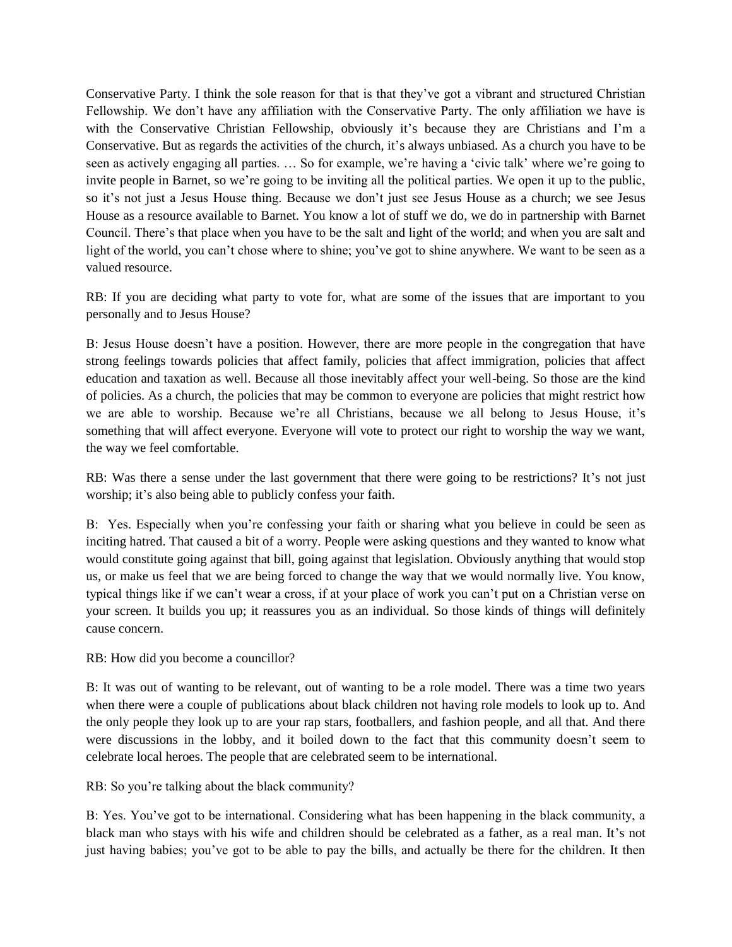Conservative Party. I think the sole reason for that is that they've got a vibrant and structured Christian Fellowship. We don't have any affiliation with the Conservative Party. The only affiliation we have is with the Conservative Christian Fellowship, obviously it's because they are Christians and I'm a Conservative. But as regards the activities of the church, it's always unbiased. As a church you have to be seen as actively engaging all parties. … So for example, we're having a 'civic talk' where we're going to invite people in Barnet, so we're going to be inviting all the political parties. We open it up to the public, so it's not just a Jesus House thing. Because we don't just see Jesus House as a church; we see Jesus House as a resource available to Barnet. You know a lot of stuff we do, we do in partnership with Barnet Council. There's that place when you have to be the salt and light of the world; and when you are salt and light of the world, you can't chose where to shine; you've got to shine anywhere. We want to be seen as a valued resource.

RB: If you are deciding what party to vote for, what are some of the issues that are important to you personally and to Jesus House?

B: Jesus House doesn't have a position. However, there are more people in the congregation that have strong feelings towards policies that affect family, policies that affect immigration, policies that affect education and taxation as well. Because all those inevitably affect your well-being. So those are the kind of policies. As a church, the policies that may be common to everyone are policies that might restrict how we are able to worship. Because we're all Christians, because we all belong to Jesus House, it's something that will affect everyone. Everyone will vote to protect our right to worship the way we want, the way we feel comfortable.

RB: Was there a sense under the last government that there were going to be restrictions? It's not just worship; it's also being able to publicly confess your faith.

B: Yes. Especially when you're confessing your faith or sharing what you believe in could be seen as inciting hatred. That caused a bit of a worry. People were asking questions and they wanted to know what would constitute going against that bill, going against that legislation. Obviously anything that would stop us, or make us feel that we are being forced to change the way that we would normally live. You know, typical things like if we can't wear a cross, if at your place of work you can't put on a Christian verse on your screen. It builds you up; it reassures you as an individual. So those kinds of things will definitely cause concern.

RB: How did you become a councillor?

B: It was out of wanting to be relevant, out of wanting to be a role model. There was a time two years when there were a couple of publications about black children not having role models to look up to. And the only people they look up to are your rap stars, footballers, and fashion people, and all that. And there were discussions in the lobby, and it boiled down to the fact that this community doesn't seem to celebrate local heroes. The people that are celebrated seem to be international.

RB: So you're talking about the black community?

B: Yes. You've got to be international. Considering what has been happening in the black community, a black man who stays with his wife and children should be celebrated as a father, as a real man. It's not just having babies; you've got to be able to pay the bills, and actually be there for the children. It then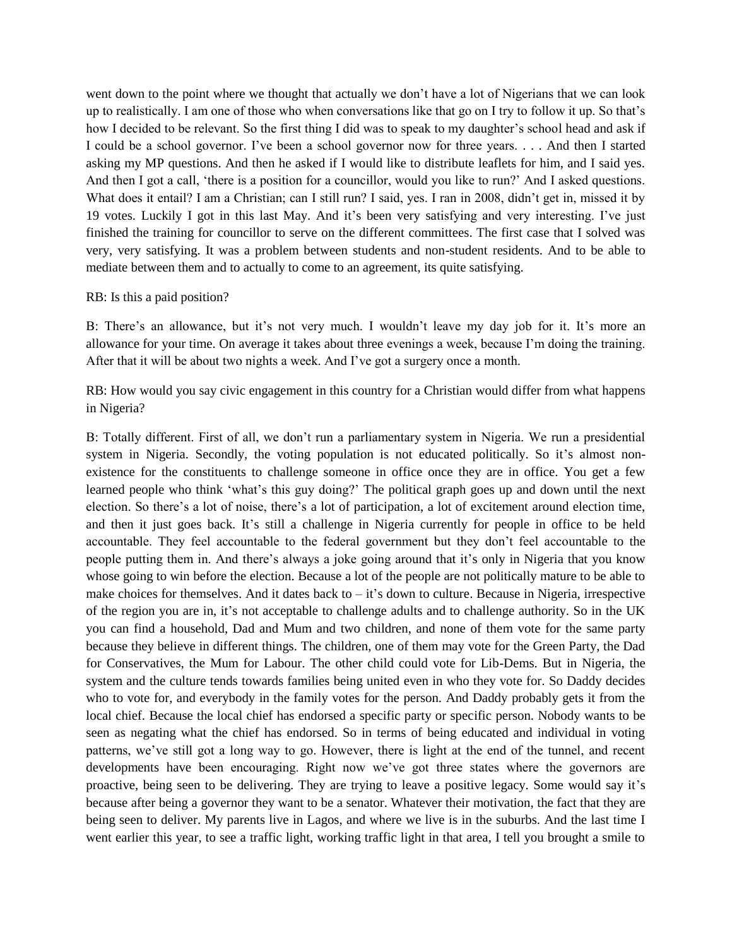went down to the point where we thought that actually we don't have a lot of Nigerians that we can look up to realistically. I am one of those who when conversations like that go on I try to follow it up. So that's how I decided to be relevant. So the first thing I did was to speak to my daughter's school head and ask if I could be a school governor. I've been a school governor now for three years. . . . And then I started asking my MP questions. And then he asked if I would like to distribute leaflets for him, and I said yes. And then I got a call, 'there is a position for a councillor, would you like to run?' And I asked questions. What does it entail? I am a Christian; can I still run? I said, yes. I ran in 2008, didn't get in, missed it by 19 votes. Luckily I got in this last May. And it's been very satisfying and very interesting. I've just finished the training for councillor to serve on the different committees. The first case that I solved was very, very satisfying. It was a problem between students and non-student residents. And to be able to mediate between them and to actually to come to an agreement, its quite satisfying.

## RB: Is this a paid position?

B: There's an allowance, but it's not very much. I wouldn't leave my day job for it. It's more an allowance for your time. On average it takes about three evenings a week, because I'm doing the training. After that it will be about two nights a week. And I've got a surgery once a month.

RB: How would you say civic engagement in this country for a Christian would differ from what happens in Nigeria?

B: Totally different. First of all, we don't run a parliamentary system in Nigeria. We run a presidential system in Nigeria. Secondly, the voting population is not educated politically. So it's almost nonexistence for the constituents to challenge someone in office once they are in office. You get a few learned people who think 'what's this guy doing?' The political graph goes up and down until the next election. So there's a lot of noise, there's a lot of participation, a lot of excitement around election time, and then it just goes back. It's still a challenge in Nigeria currently for people in office to be held accountable. They feel accountable to the federal government but they don't feel accountable to the people putting them in. And there's always a joke going around that it's only in Nigeria that you know whose going to win before the election. Because a lot of the people are not politically mature to be able to make choices for themselves. And it dates back to – it's down to culture. Because in Nigeria, irrespective of the region you are in, it's not acceptable to challenge adults and to challenge authority. So in the UK you can find a household, Dad and Mum and two children, and none of them vote for the same party because they believe in different things. The children, one of them may vote for the Green Party, the Dad for Conservatives, the Mum for Labour. The other child could vote for Lib-Dems. But in Nigeria, the system and the culture tends towards families being united even in who they vote for. So Daddy decides who to vote for, and everybody in the family votes for the person. And Daddy probably gets it from the local chief. Because the local chief has endorsed a specific party or specific person. Nobody wants to be seen as negating what the chief has endorsed. So in terms of being educated and individual in voting patterns, we've still got a long way to go. However, there is light at the end of the tunnel, and recent developments have been encouraging. Right now we've got three states where the governors are proactive, being seen to be delivering. They are trying to leave a positive legacy. Some would say it's because after being a governor they want to be a senator. Whatever their motivation, the fact that they are being seen to deliver. My parents live in Lagos, and where we live is in the suburbs. And the last time I went earlier this year, to see a traffic light, working traffic light in that area, I tell you brought a smile to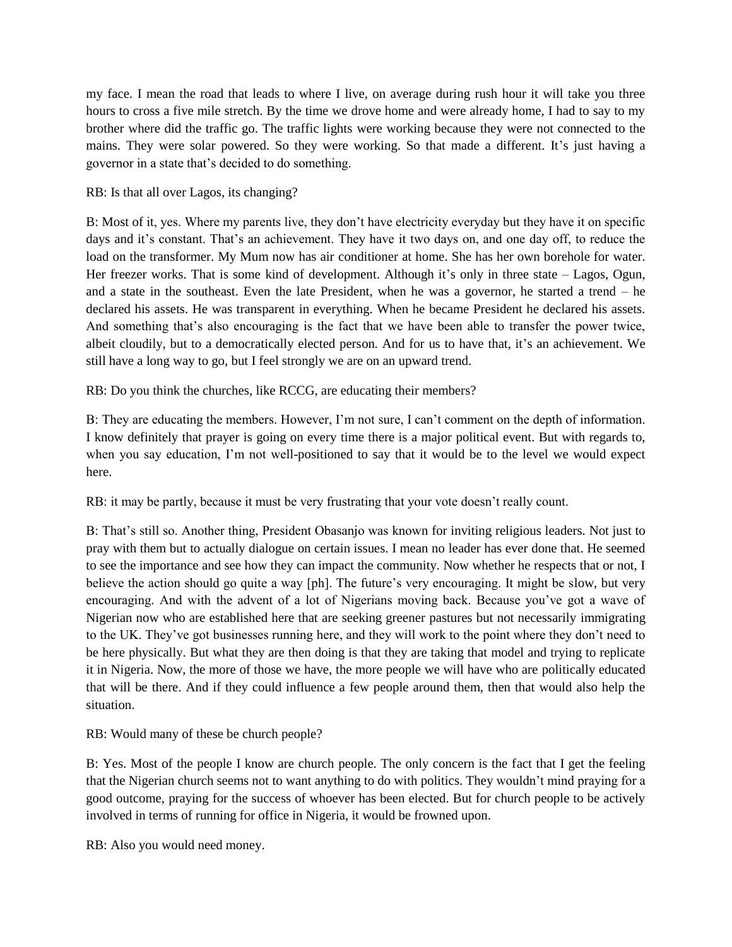my face. I mean the road that leads to where I live, on average during rush hour it will take you three hours to cross a five mile stretch. By the time we drove home and were already home, I had to say to my brother where did the traffic go. The traffic lights were working because they were not connected to the mains. They were solar powered. So they were working. So that made a different. It's just having a governor in a state that's decided to do something.

## RB: Is that all over Lagos, its changing?

B: Most of it, yes. Where my parents live, they don't have electricity everyday but they have it on specific days and it's constant. That's an achievement. They have it two days on, and one day off, to reduce the load on the transformer. My Mum now has air conditioner at home. She has her own borehole for water. Her freezer works. That is some kind of development. Although it's only in three state – Lagos, Ogun, and a state in the southeast. Even the late President, when he was a governor, he started a trend – he declared his assets. He was transparent in everything. When he became President he declared his assets. And something that's also encouraging is the fact that we have been able to transfer the power twice, albeit cloudily, but to a democratically elected person. And for us to have that, it's an achievement. We still have a long way to go, but I feel strongly we are on an upward trend.

RB: Do you think the churches, like RCCG, are educating their members?

B: They are educating the members. However, I'm not sure, I can't comment on the depth of information. I know definitely that prayer is going on every time there is a major political event. But with regards to, when you say education, I'm not well-positioned to say that it would be to the level we would expect here.

RB: it may be partly, because it must be very frustrating that your vote doesn't really count.

B: That's still so. Another thing, President Obasanjo was known for inviting religious leaders. Not just to pray with them but to actually dialogue on certain issues. I mean no leader has ever done that. He seemed to see the importance and see how they can impact the community. Now whether he respects that or not, I believe the action should go quite a way [ph]. The future's very encouraging. It might be slow, but very encouraging. And with the advent of a lot of Nigerians moving back. Because you've got a wave of Nigerian now who are established here that are seeking greener pastures but not necessarily immigrating to the UK. They've got businesses running here, and they will work to the point where they don't need to be here physically. But what they are then doing is that they are taking that model and trying to replicate it in Nigeria. Now, the more of those we have, the more people we will have who are politically educated that will be there. And if they could influence a few people around them, then that would also help the situation.

RB: Would many of these be church people?

B: Yes. Most of the people I know are church people. The only concern is the fact that I get the feeling that the Nigerian church seems not to want anything to do with politics. They wouldn't mind praying for a good outcome, praying for the success of whoever has been elected. But for church people to be actively involved in terms of running for office in Nigeria, it would be frowned upon.

RB: Also you would need money.